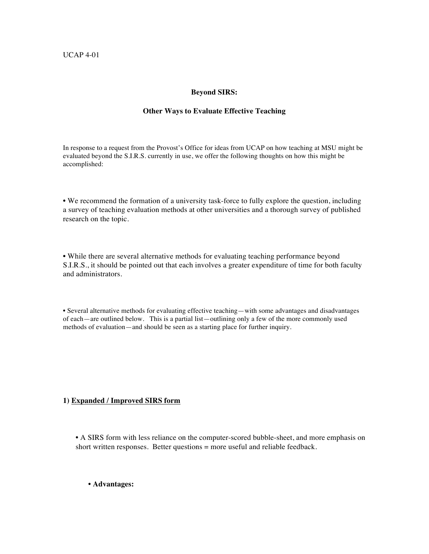### **Beyond SIRS:**

#### **Other Ways to Evaluate Effective Teaching**

In response to a request from the Provost's Office for ideas from UCAP on how teaching at MSU might be evaluated beyond the S.I.R.S. currently in use, we offer the following thoughts on how this might be accomplished:

• We recommend the formation of a university task-force to fully explore the question, including a survey of teaching evaluation methods at other universities and a thorough survey of published research on the topic.

• While there are several alternative methods for evaluating teaching performance beyond S.I.R.S., it should be pointed out that each involves a greater expenditure of time for both faculty and administrators.

• Several alternative methods for evaluating effective teaching—with some advantages and disadvantages of each—are outlined below. This is a partial list—outlining only a few of the more commonly used methods of evaluation—and should be seen as a starting place for further inquiry.

# **1) Expanded / Improved SIRS form**

**•** A SIRS form with less reliance on the computer-scored bubble-sheet, and more emphasis on short written responses. Better questions = more useful and reliable feedback.

## • **Advantages:**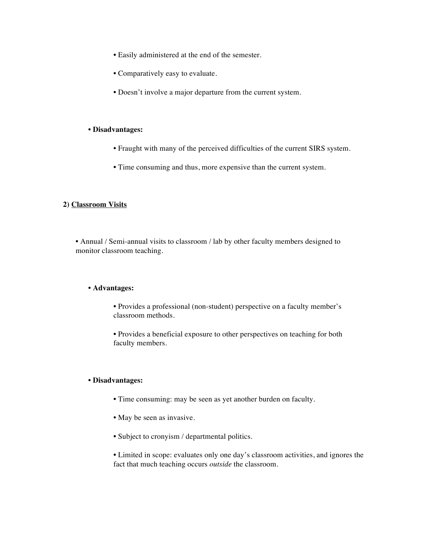- Easily administered at the end of the semester.
- Comparatively easy to evaluate.
- Doesn't involve a major departure from the current system.

#### • **Disadvantages:**

- Fraught with many of the perceived difficulties of the current SIRS system.
- Time consuming and thus, more expensive than the current system.

## **2) Classroom Visits**

**•** Annual / Semi-annual visits to classroom / lab by other faculty members designed to monitor classroom teaching.

### • **Advantages:**

**•** Provides a professional (non-student) perspective on a faculty member's classroom methods.

**•** Provides a beneficial exposure to other perspectives on teaching for both faculty members.

## • **Disadvantages:**

- Time consuming: may be seen as yet another burden on faculty.
- May be seen as invasive.
- Subject to cronyism / departmental politics.

**•** Limited in scope: evaluates only one day's classroom activities, and ignores the fact that much teaching occurs *outside* the classroom.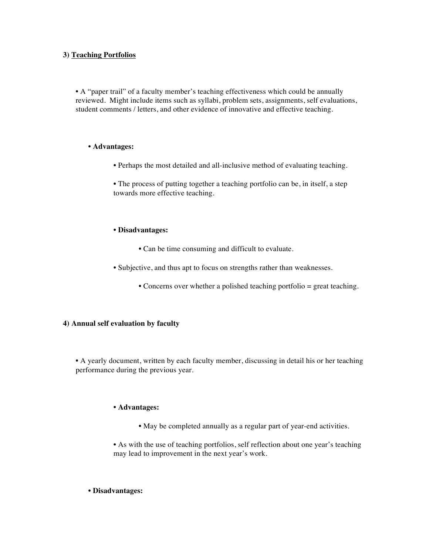### **3) Teaching Portfolios**

• A "paper trail" of a faculty member's teaching effectiveness which could be annually reviewed. Might include items such as syllabi, problem sets, assignments, self evaluations, student comments / letters, and other evidence of innovative and effective teaching.

### • **Advantages:**

• Perhaps the most detailed and all-inclusive method of evaluating teaching.

• The process of putting together a teaching portfolio can be, in itself, a step towards more effective teaching.

### **• Disadvantages:**

- Can be time consuming and difficult to evaluate.
- Subjective, and thus apt to focus on strengths rather than weaknesses.
	- Concerns over whether a polished teaching portfolio = great teaching.

### **4) Annual self evaluation by faculty**

**•** A yearly document, written by each faculty member, discussing in detail his or her teaching performance during the previous year.

### **• Advantages:**

**•** May be completed annually as a regular part of year-end activities.

• As with the use of teaching portfolios, self reflection about one year's teaching may lead to improvement in the next year's work.

### • **Disadvantages:**